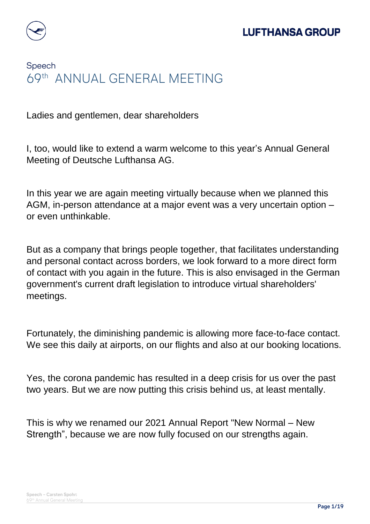

## Speech 69th ANNUAL GENERAL MEETING

Ladies and gentlemen, dear shareholders

I, too, would like to extend a warm welcome to this year's Annual General Meeting of Deutsche Lufthansa AG.

In this year we are again meeting virtually because when we planned this AGM, in-person attendance at a major event was a very uncertain option – or even unthinkable.

But as a company that brings people together, that facilitates understanding and personal contact across borders, we look forward to a more direct form of contact with you again in the future. This is also envisaged in the German government's current draft legislation to introduce virtual shareholders' meetings.

Fortunately, the diminishing pandemic is allowing more face-to-face contact. We see this daily at airports, on our flights and also at our booking locations.

Yes, the corona pandemic has resulted in a deep crisis for us over the past two years. But we are now putting this crisis behind us, at least mentally.

This is why we renamed our 2021 Annual Report "New Normal – New Strength", because we are now fully focused on our strengths again.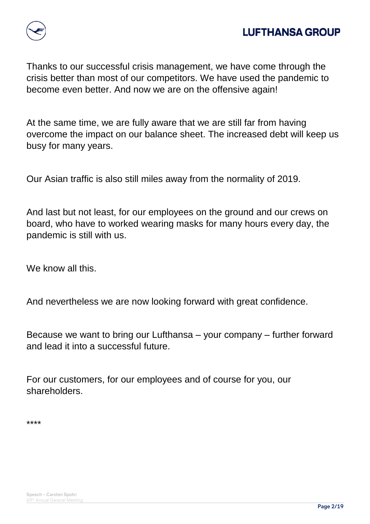

Thanks to our successful crisis management, we have come through the crisis better than most of our competitors. We have used the pandemic to become even better. And now we are on the offensive again!

At the same time, we are fully aware that we are still far from having overcome the impact on our balance sheet. The increased debt will keep us busy for many years.

Our Asian traffic is also still miles away from the normality of 2019.

And last but not least, for our employees on the ground and our crews on board, who have to worked wearing masks for many hours every day, the pandemic is still with us.

We know all this.

And nevertheless we are now looking forward with great confidence.

Because we want to bring our Lufthansa – your company – further forward and lead it into a successful future.

For our customers, for our employees and of course for you, our shareholders.

\*\*\*\*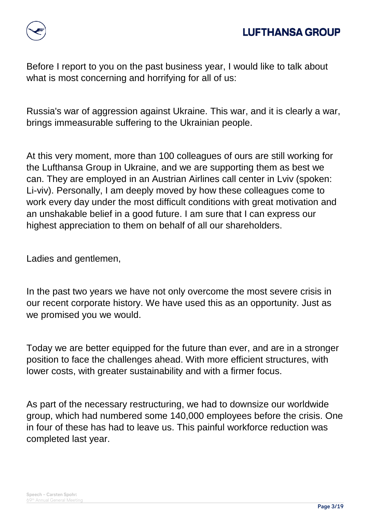

Before I report to you on the past business year, I would like to talk about what is most concerning and horrifying for all of us:

Russia's war of aggression against Ukraine. This war, and it is clearly a war, brings immeasurable suffering to the Ukrainian people.

At this very moment, more than 100 colleagues of ours are still working for the Lufthansa Group in Ukraine, and we are supporting them as best we can. They are employed in an Austrian Airlines call center in Lviv (spoken: Li-viv). Personally, I am deeply moved by how these colleagues come to work every day under the most difficult conditions with great motivation and an unshakable belief in a good future. I am sure that I can express our highest appreciation to them on behalf of all our shareholders.

Ladies and gentlemen,

In the past two years we have not only overcome the most severe crisis in our recent corporate history. We have used this as an opportunity. Just as we promised you we would.

Today we are better equipped for the future than ever, and are in a stronger position to face the challenges ahead. With more efficient structures, with lower costs, with greater sustainability and with a firmer focus.

As part of the necessary restructuring, we had to downsize our worldwide group, which had numbered some 140,000 employees before the crisis. One in four of these has had to leave us. This painful workforce reduction was completed last year.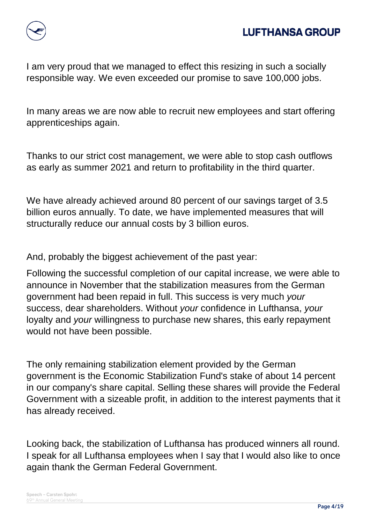

I am very proud that we managed to effect this resizing in such a socially responsible way. We even exceeded our promise to save 100,000 jobs.

In many areas we are now able to recruit new employees and start offering apprenticeships again.

Thanks to our strict cost management, we were able to stop cash outflows as early as summer 2021 and return to profitability in the third quarter.

We have already achieved around 80 percent of our savings target of 3.5 billion euros annually. To date, we have implemented measures that will structurally reduce our annual costs by 3 billion euros.

And, probably the biggest achievement of the past year:

Following the successful completion of our capital increase, we were able to announce in November that the stabilization measures from the German government had been repaid in full. This success is very much *your* success, dear shareholders. Without *your* confidence in Lufthansa, *your* loyalty and *your* willingness to purchase new shares, this early repayment would not have been possible.

The only remaining stabilization element provided by the German government is the Economic Stabilization Fund's stake of about 14 percent in our company's share capital. Selling these shares will provide the Federal Government with a sizeable profit, in addition to the interest payments that it has already received.

Looking back, the stabilization of Lufthansa has produced winners all round. I speak for all Lufthansa employees when I say that I would also like to once again thank the German Federal Government.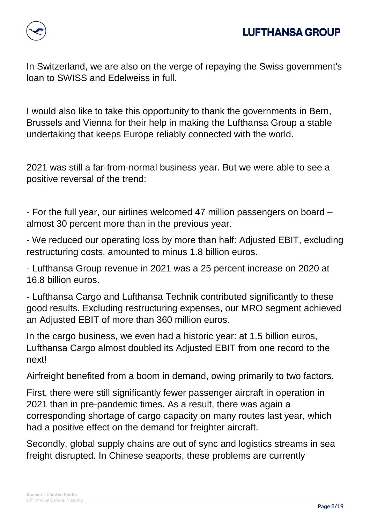

In Switzerland, we are also on the verge of repaying the Swiss government's loan to SWISS and Edelweiss in full.

I would also like to take this opportunity to thank the governments in Bern, Brussels and Vienna for their help in making the Lufthansa Group a stable undertaking that keeps Europe reliably connected with the world.

2021 was still a far-from-normal business year. But we were able to see a positive reversal of the trend:

- For the full year, our airlines welcomed 47 million passengers on board – almost 30 percent more than in the previous year.

- We reduced our operating loss by more than half: Adjusted EBIT, excluding restructuring costs, amounted to minus 1.8 billion euros.

- Lufthansa Group revenue in 2021 was a 25 percent increase on 2020 at 16.8 billion euros.

- Lufthansa Cargo and Lufthansa Technik contributed significantly to these good results. Excluding restructuring expenses, our MRO segment achieved an Adjusted EBIT of more than 360 million euros.

In the cargo business, we even had a historic year: at 1.5 billion euros, Lufthansa Cargo almost doubled its Adjusted EBIT from one record to the next!

Airfreight benefited from a boom in demand, owing primarily to two factors.

First, there were still significantly fewer passenger aircraft in operation in 2021 than in pre-pandemic times. As a result, there was again a corresponding shortage of cargo capacity on many routes last year, which had a positive effect on the demand for freighter aircraft.

Secondly, global supply chains are out of sync and logistics streams in sea freight disrupted. In Chinese seaports, these problems are currently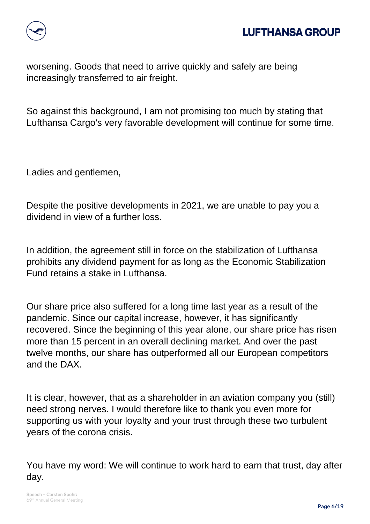

worsening. Goods that need to arrive quickly and safely are being increasingly transferred to air freight.

So against this background, I am not promising too much by stating that Lufthansa Cargo's very favorable development will continue for some time.

Ladies and gentlemen,

Despite the positive developments in 2021, we are unable to pay you a dividend in view of a further loss.

In addition, the agreement still in force on the stabilization of Lufthansa prohibits any dividend payment for as long as the Economic Stabilization Fund retains a stake in Lufthansa.

Our share price also suffered for a long time last year as a result of the pandemic. Since our capital increase, however, it has significantly recovered. Since the beginning of this year alone, our share price has risen more than 15 percent in an overall declining market. And over the past twelve months, our share has outperformed all our European competitors and the DAX.

It is clear, however, that as a shareholder in an aviation company you (still) need strong nerves. I would therefore like to thank you even more for supporting us with your loyalty and your trust through these two turbulent years of the corona crisis.

You have my word: We will continue to work hard to earn that trust, day after day.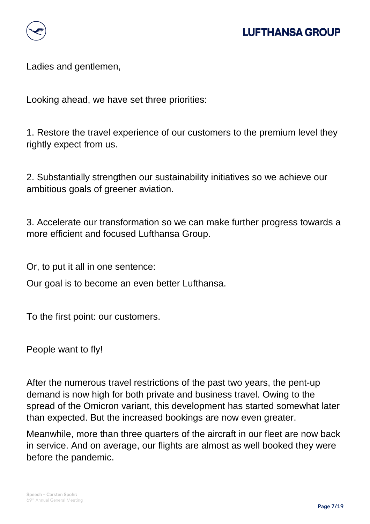

Ladies and gentlemen,

Looking ahead, we have set three priorities:

1. Restore the travel experience of our customers to the premium level they rightly expect from us.

2. Substantially strengthen our sustainability initiatives so we achieve our ambitious goals of greener aviation.

3. Accelerate our transformation so we can make further progress towards a more efficient and focused Lufthansa Group.

Or, to put it all in one sentence:

Our goal is to become an even better Lufthansa.

To the first point: our customers.

People want to fly!

After the numerous travel restrictions of the past two years, the pent-up demand is now high for both private and business travel. Owing to the spread of the Omicron variant, this development has started somewhat later than expected. But the increased bookings are now even greater.

Meanwhile, more than three quarters of the aircraft in our fleet are now back in service. And on average, our flights are almost as well booked they were before the pandemic.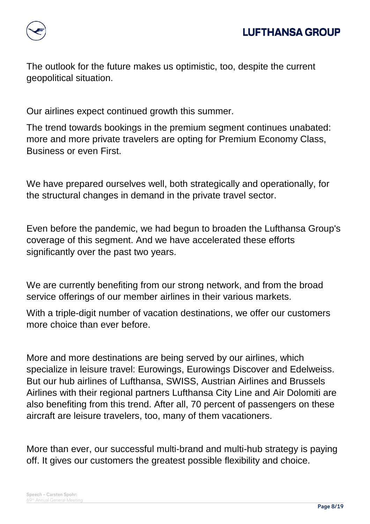

The outlook for the future makes us optimistic, too, despite the current geopolitical situation.

Our airlines expect continued growth this summer.

The trend towards bookings in the premium segment continues unabated: more and more private travelers are opting for Premium Economy Class, Business or even First.

We have prepared ourselves well, both strategically and operationally, for the structural changes in demand in the private travel sector.

Even before the pandemic, we had begun to broaden the Lufthansa Group's coverage of this segment. And we have accelerated these efforts significantly over the past two years.

We are currently benefiting from our strong network, and from the broad service offerings of our member airlines in their various markets.

With a triple-digit number of vacation destinations, we offer our customers more choice than ever before.

More and more destinations are being served by our airlines, which specialize in leisure travel: Eurowings, Eurowings Discover and Edelweiss. But our hub airlines of Lufthansa, SWISS, Austrian Airlines and Brussels Airlines with their regional partners Lufthansa City Line and Air Dolomiti are also benefiting from this trend. After all, 70 percent of passengers on these aircraft are leisure travelers, too, many of them vacationers.

More than ever, our successful multi-brand and multi-hub strategy is paying off. It gives our customers the greatest possible flexibility and choice.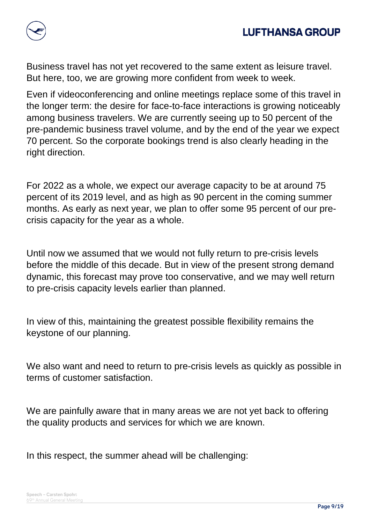



Business travel has not yet recovered to the same extent as leisure travel. But here, too, we are growing more confident from week to week.

Even if videoconferencing and online meetings replace some of this travel in the longer term: the desire for face-to-face interactions is growing noticeably among business travelers. We are currently seeing up to 50 percent of the pre-pandemic business travel volume, and by the end of the year we expect 70 percent. So the corporate bookings trend is also clearly heading in the right direction.

For 2022 as a whole, we expect our average capacity to be at around 75 percent of its 2019 level, and as high as 90 percent in the coming summer months. As early as next year, we plan to offer some 95 percent of our precrisis capacity for the year as a whole.

Until now we assumed that we would not fully return to pre-crisis levels before the middle of this decade. But in view of the present strong demand dynamic, this forecast may prove too conservative, and we may well return to pre-crisis capacity levels earlier than planned.

In view of this, maintaining the greatest possible flexibility remains the keystone of our planning.

We also want and need to return to pre-crisis levels as quickly as possible in terms of customer satisfaction.

We are painfully aware that in many areas we are not yet back to offering the quality products and services for which we are known.

In this respect, the summer ahead will be challenging: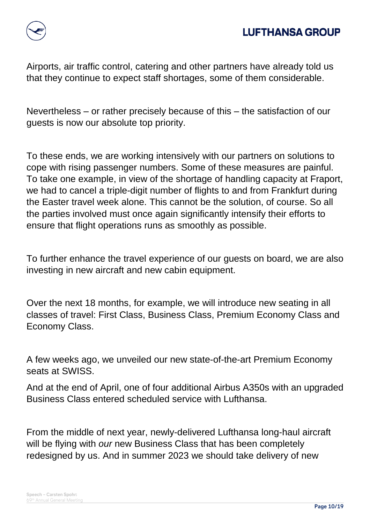

Airports, air traffic control, catering and other partners have already told us that they continue to expect staff shortages, some of them considerable.

Nevertheless – or rather precisely because of this – the satisfaction of our guests is now our absolute top priority.

To these ends, we are working intensively with our partners on solutions to cope with rising passenger numbers. Some of these measures are painful. To take one example, in view of the shortage of handling capacity at Fraport, we had to cancel a triple-digit number of flights to and from Frankfurt during the Easter travel week alone. This cannot be the solution, of course. So all the parties involved must once again significantly intensify their efforts to ensure that flight operations runs as smoothly as possible.

To further enhance the travel experience of our guests on board, we are also investing in new aircraft and new cabin equipment.

Over the next 18 months, for example, we will introduce new seating in all classes of travel: First Class, Business Class, Premium Economy Class and Economy Class.

A few weeks ago, we unveiled our new state-of-the-art Premium Economy seats at SWISS.

And at the end of April, one of four additional Airbus A350s with an upgraded Business Class entered scheduled service with Lufthansa.

From the middle of next year, newly-delivered Lufthansa long-haul aircraft will be flying with *our* new Business Class that has been completely redesigned by us. And in summer 2023 we should take delivery of new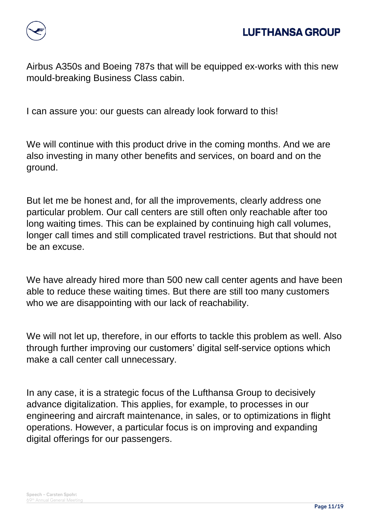

Airbus A350s and Boeing 787s that will be equipped ex-works with this new mould-breaking Business Class cabin.

I can assure you: our guests can already look forward to this!

We will continue with this product drive in the coming months. And we are also investing in many other benefits and services, on board and on the ground.

But let me be honest and, for all the improvements, clearly address one particular problem. Our call centers are still often only reachable after too long waiting times. This can be explained by continuing high call volumes, longer call times and still complicated travel restrictions. But that should not be an excuse.

We have already hired more than 500 new call center agents and have been able to reduce these waiting times. But there are still too many customers who we are disappointing with our lack of reachability.

We will not let up, therefore, in our efforts to tackle this problem as well. Also through further improving our customers' digital self-service options which make a call center call unnecessary.

In any case, it is a strategic focus of the Lufthansa Group to decisively advance digitalization. This applies, for example, to processes in our engineering and aircraft maintenance, in sales, or to optimizations in flight operations. However, a particular focus is on improving and expanding digital offerings for our passengers.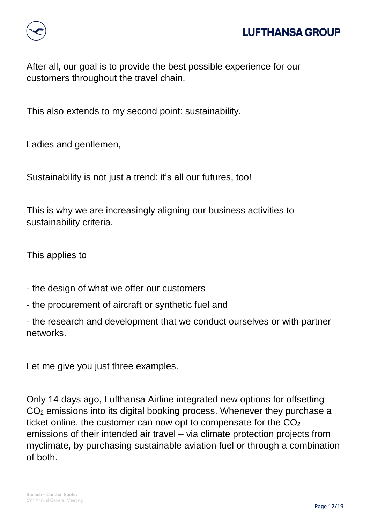

## **LUFTHANSA GROUP**

After all, our goal is to provide the best possible experience for our customers throughout the travel chain.

This also extends to my second point: sustainability.

Ladies and gentlemen,

Sustainability is not just a trend: it's all our futures, too!

This is why we are increasingly aligning our business activities to sustainability criteria.

This applies to

- the design of what we offer our customers
- the procurement of aircraft or synthetic fuel and

- the research and development that we conduct ourselves or with partner networks.

Let me give you just three examples.

Only 14 days ago, Lufthansa Airline integrated new options for offsetting CO<sup>2</sup> emissions into its digital booking process. Whenever they purchase a ticket online, the customer can now opt to compensate for the  $CO<sub>2</sub>$ emissions of their intended air travel – via climate protection projects from myclimate, by purchasing sustainable aviation fuel or through a combination of both.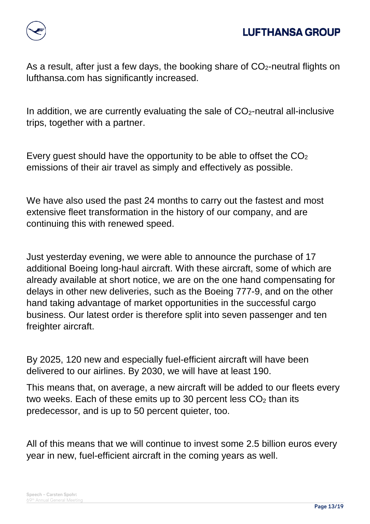

As a result, after just a few days, the booking share of  $CO<sub>2</sub>$ -neutral flights on lufthansa.com has significantly increased.

In addition, we are currently evaluating the sale of  $CO<sub>2</sub>$ -neutral all-inclusive trips, together with a partner.

Every guest should have the opportunity to be able to offset the  $CO<sub>2</sub>$ emissions of their air travel as simply and effectively as possible.

We have also used the past 24 months to carry out the fastest and most extensive fleet transformation in the history of our company, and are continuing this with renewed speed.

Just yesterday evening, we were able to announce the purchase of 17 additional Boeing long-haul aircraft. With these aircraft, some of which are already available at short notice, we are on the one hand compensating for delays in other new deliveries, such as the Boeing 777-9, and on the other hand taking advantage of market opportunities in the successful cargo business. Our latest order is therefore split into seven passenger and ten freighter aircraft.

By 2025, 120 new and especially fuel-efficient aircraft will have been delivered to our airlines. By 2030, we will have at least 190.

This means that, on average, a new aircraft will be added to our fleets every two weeks. Each of these emits up to 30 percent less  $CO<sub>2</sub>$  than its predecessor, and is up to 50 percent quieter, too.

All of this means that we will continue to invest some 2.5 billion euros every year in new, fuel-efficient aircraft in the coming years as well.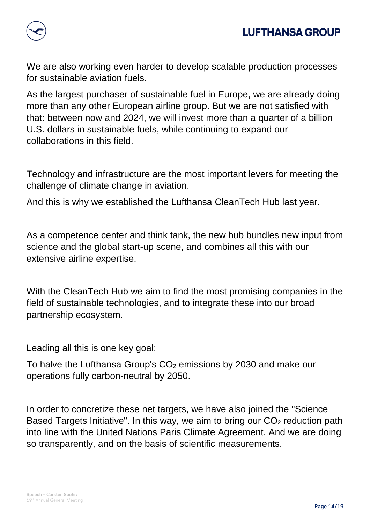

We are also working even harder to develop scalable production processes for sustainable aviation fuels.

As the largest purchaser of sustainable fuel in Europe, we are already doing more than any other European airline group. But we are not satisfied with that: between now and 2024, we will invest more than a quarter of a billion U.S. dollars in sustainable fuels, while continuing to expand our collaborations in this field.

Technology and infrastructure are the most important levers for meeting the challenge of climate change in aviation.

And this is why we established the Lufthansa CleanTech Hub last year.

As a competence center and think tank, the new hub bundles new input from science and the global start-up scene, and combines all this with our extensive airline expertise.

With the CleanTech Hub we aim to find the most promising companies in the field of sustainable technologies, and to integrate these into our broad partnership ecosystem.

Leading all this is one key goal:

To halve the Lufthansa Group's  $CO<sub>2</sub>$  emissions by 2030 and make our operations fully carbon-neutral by 2050.

In order to concretize these net targets, we have also joined the "Science Based Targets Initiative". In this way, we aim to bring our  $CO<sub>2</sub>$  reduction path into line with the United Nations Paris Climate Agreement. And we are doing so transparently, and on the basis of scientific measurements.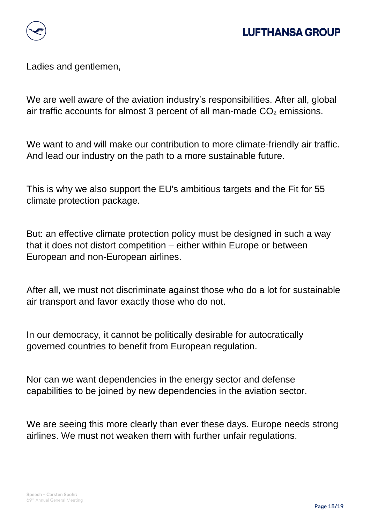

## **LUFTHANSA GROUP**

Ladies and gentlemen,

We are well aware of the aviation industry's responsibilities. After all, global air traffic accounts for almost 3 percent of all man-made  $CO<sub>2</sub>$  emissions.

We want to and will make our contribution to more climate-friendly air traffic. And lead our industry on the path to a more sustainable future.

This is why we also support the EU's ambitious targets and the Fit for 55 climate protection package.

But: an effective climate protection policy must be designed in such a way that it does not distort competition – either within Europe or between European and non-European airlines.

After all, we must not discriminate against those who do a lot for sustainable air transport and favor exactly those who do not.

In our democracy, it cannot be politically desirable for autocratically governed countries to benefit from European regulation.

Nor can we want dependencies in the energy sector and defense capabilities to be joined by new dependencies in the aviation sector.

We are seeing this more clearly than ever these days. Europe needs strong airlines. We must not weaken them with further unfair regulations.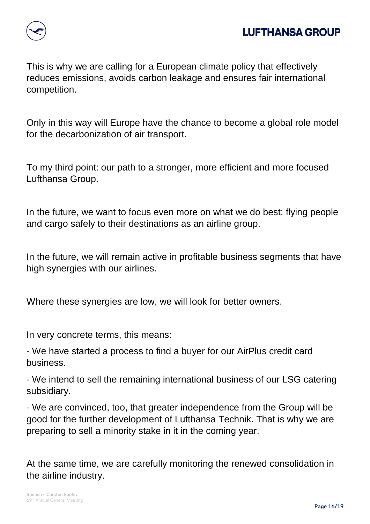

This is why we are calling for a European climate policy that effectively reduces emissions, avoids carbon leakage and ensures fair international competition.

Only in this way will Europe have the chance to become a global role model for the decarbonization of air transport.

To my third point: our path to a stronger, more efficient and more focused Lufthansa Group.

In the future, we want to focus even more on what we do best: flying people and cargo safely to their destinations as an airline group.

In the future, we will remain active in profitable business segments that have high synergies with our airlines.

Where these synergies are low, we will look for better owners.

In very concrete terms, this means:

- We have started a process to find a buyer for our AirPlus credit card business.

- We intend to sell the remaining international business of our LSG catering subsidiary.

- We are convinced, too, that greater independence from the Group will be good for the further development of Lufthansa Technik. That is why we are preparing to sell a minority stake in it in the coming year.

At the same time, we are carefully monitoring the renewed consolidation in the airline industry.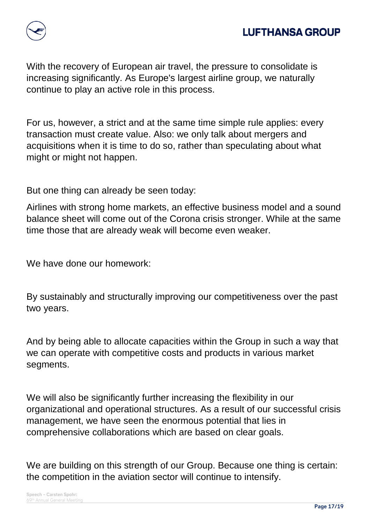

With the recovery of European air travel, the pressure to consolidate is increasing significantly. As Europe's largest airline group, we naturally continue to play an active role in this process.

For us, however, a strict and at the same time simple rule applies: every transaction must create value. Also: we only talk about mergers and acquisitions when it is time to do so, rather than speculating about what might or might not happen.

But one thing can already be seen today:

Airlines with strong home markets, an effective business model and a sound balance sheet will come out of the Corona crisis stronger. While at the same time those that are already weak will become even weaker.

We have done our homework:

By sustainably and structurally improving our competitiveness over the past two years.

And by being able to allocate capacities within the Group in such a way that we can operate with competitive costs and products in various market segments.

We will also be significantly further increasing the flexibility in our organizational and operational structures. As a result of our successful crisis management, we have seen the enormous potential that lies in comprehensive collaborations which are based on clear goals.

We are building on this strength of our Group. Because one thing is certain: the competition in the aviation sector will continue to intensify.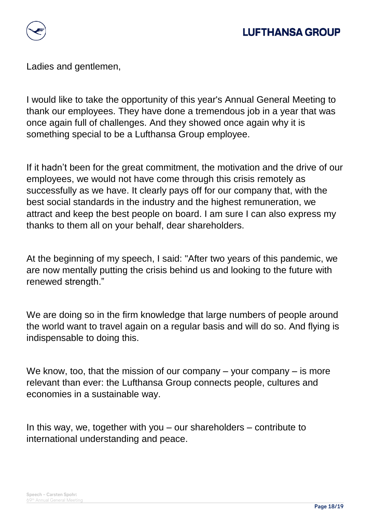

Ladies and gentlemen,

I would like to take the opportunity of this year's Annual General Meeting to thank our employees. They have done a tremendous job in a year that was once again full of challenges. And they showed once again why it is something special to be a Lufthansa Group employee.

If it hadn't been for the great commitment, the motivation and the drive of our employees, we would not have come through this crisis remotely as successfully as we have. It clearly pays off for our company that, with the best social standards in the industry and the highest remuneration, we attract and keep the best people on board. I am sure I can also express my thanks to them all on your behalf, dear shareholders.

At the beginning of my speech, I said: "After two years of this pandemic, we are now mentally putting the crisis behind us and looking to the future with renewed strength."

We are doing so in the firm knowledge that large numbers of people around the world want to travel again on a regular basis and will do so. And flying is indispensable to doing this.

We know, too, that the mission of our company – your company – is more relevant than ever: the Lufthansa Group connects people, cultures and economies in a sustainable way.

In this way, we, together with you – our shareholders – contribute to international understanding and peace.